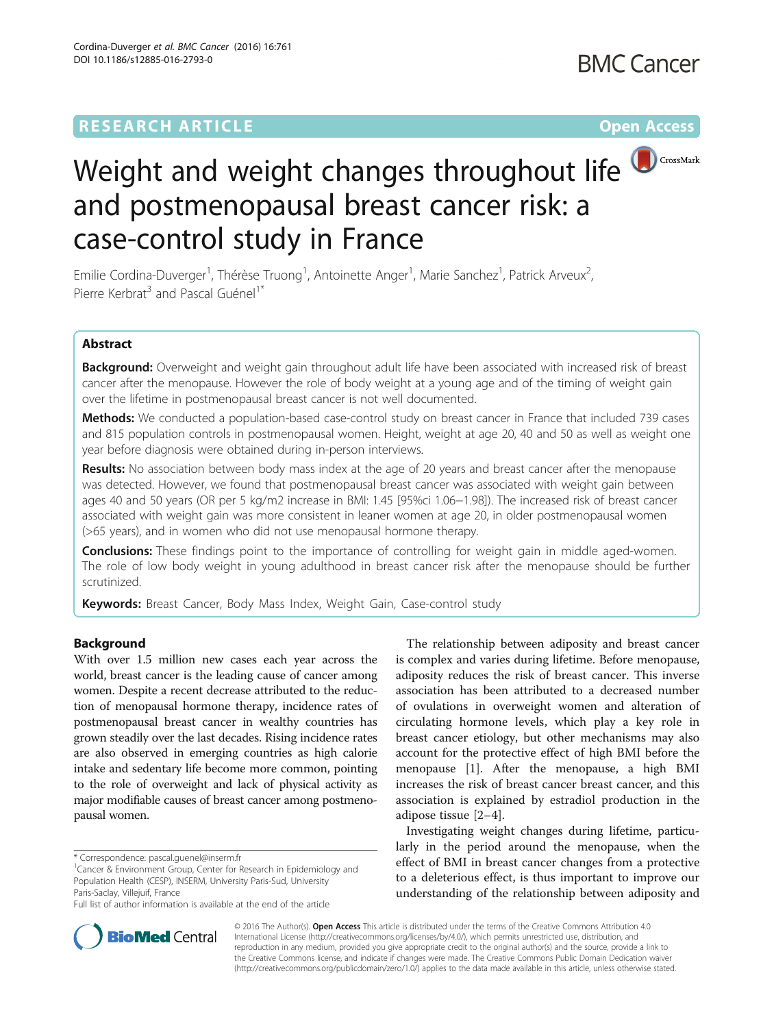## **RESEARCH ARTICLE Example 2018 12:00 Department of the Contract Open Access**



# Weight and weight changes throughout life **W** CrossMark and postmenopausal breast cancer risk: a case-control study in France

Emilie Cordina-Duverger<sup>1</sup>, Thérèse Truong<sup>1</sup>, Antoinette Anger<sup>1</sup>, Marie Sanchez<sup>1</sup>, Patrick Arveux<sup>2</sup> , Pierre Kerbrat<sup>3</sup> and Pascal Guénel<sup>1\*</sup>

## Abstract

Background: Overweight and weight gain throughout adult life have been associated with increased risk of breast cancer after the menopause. However the role of body weight at a young age and of the timing of weight gain over the lifetime in postmenopausal breast cancer is not well documented.

Methods: We conducted a population-based case-control study on breast cancer in France that included 739 cases and 815 population controls in postmenopausal women. Height, weight at age 20, 40 and 50 as well as weight one year before diagnosis were obtained during in-person interviews.

**Results:** No association between body mass index at the age of 20 years and breast cancer after the menopause was detected. However, we found that postmenopausal breast cancer was associated with weight gain between ages 40 and 50 years (OR per 5 kg/m2 increase in BMI: 1.45 [95%ci 1.06−1.98]). The increased risk of breast cancer associated with weight gain was more consistent in leaner women at age 20, in older postmenopausal women (>65 years), and in women who did not use menopausal hormone therapy.

**Conclusions:** These findings point to the importance of controlling for weight gain in middle aged-women. The role of low body weight in young adulthood in breast cancer risk after the menopause should be further scrutinized.

Keywords: Breast Cancer, Body Mass Index, Weight Gain, Case-control study

## Background

With over 1.5 million new cases each year across the world, breast cancer is the leading cause of cancer among women. Despite a recent decrease attributed to the reduction of menopausal hormone therapy, incidence rates of postmenopausal breast cancer in wealthy countries has grown steadily over the last decades. Rising incidence rates are also observed in emerging countries as high calorie intake and sedentary life become more common, pointing to the role of overweight and lack of physical activity as major modifiable causes of breast cancer among postmenopausal women.

The relationship between adiposity and breast cancer is complex and varies during lifetime. Before menopause, adiposity reduces the risk of breast cancer. This inverse association has been attributed to a decreased number of ovulations in overweight women and alteration of circulating hormone levels, which play a key role in breast cancer etiology, but other mechanisms may also account for the protective effect of high BMI before the menopause [\[1](#page-7-0)]. After the menopause, a high BMI increases the risk of breast cancer breast cancer, and this association is explained by estradiol production in the adipose tissue [\[2](#page-7-0)–[4](#page-7-0)].

Investigating weight changes during lifetime, particularly in the period around the menopause, when the effect of BMI in breast cancer changes from a protective to a deleterious effect, is thus important to improve our understanding of the relationship between adiposity and



© 2016 The Author(s). Open Access This article is distributed under the terms of the Creative Commons Attribution 4.0 International License [\(http://creativecommons.org/licenses/by/4.0/](http://creativecommons.org/licenses/by/4.0/)), which permits unrestricted use, distribution, and reproduction in any medium, provided you give appropriate credit to the original author(s) and the source, provide a link to the Creative Commons license, and indicate if changes were made. The Creative Commons Public Domain Dedication waiver [\(http://creativecommons.org/publicdomain/zero/1.0/](http://creativecommons.org/publicdomain/zero/1.0/)) applies to the data made available in this article, unless otherwise stated.

<sup>\*</sup> Correspondence: [pascal.guenel@inserm.fr](mailto:pascal.guenel@inserm.fr) <sup>1</sup>

<sup>&</sup>lt;sup>1</sup> Cancer & Environment Group, Center for Research in Epidemiology and Population Health (CESP), INSERM, University Paris-Sud, University Paris-Saclay, Villejuif, France

Full list of author information is available at the end of the article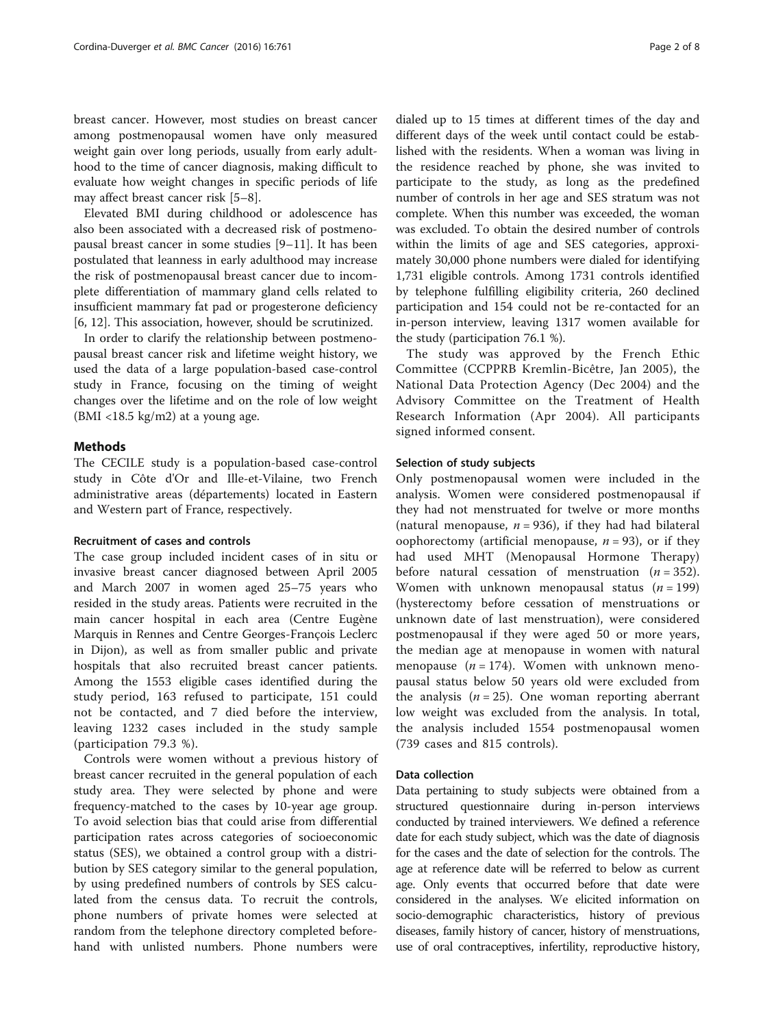breast cancer. However, most studies on breast cancer among postmenopausal women have only measured weight gain over long periods, usually from early adulthood to the time of cancer diagnosis, making difficult to evaluate how weight changes in specific periods of life may affect breast cancer risk [[5](#page-7-0)–[8\]](#page-7-0).

Elevated BMI during childhood or adolescence has also been associated with a decreased risk of postmenopausal breast cancer in some studies [[9](#page-7-0)–[11\]](#page-7-0). It has been postulated that leanness in early adulthood may increase the risk of postmenopausal breast cancer due to incomplete differentiation of mammary gland cells related to insufficient mammary fat pad or progesterone deficiency [[6, 12\]](#page-7-0). This association, however, should be scrutinized.

In order to clarify the relationship between postmenopausal breast cancer risk and lifetime weight history, we used the data of a large population-based case-control study in France, focusing on the timing of weight changes over the lifetime and on the role of low weight (BMI <18.5 kg/m2) at a young age.

## **Methods**

The CECILE study is a population-based case-control study in Côte d'Or and Ille-et-Vilaine, two French administrative areas (départements) located in Eastern and Western part of France, respectively.

#### Recruitment of cases and controls

The case group included incident cases of in situ or invasive breast cancer diagnosed between April 2005 and March 2007 in women aged 25–75 years who resided in the study areas. Patients were recruited in the main cancer hospital in each area (Centre Eugène Marquis in Rennes and Centre Georges-François Leclerc in Dijon), as well as from smaller public and private hospitals that also recruited breast cancer patients. Among the 1553 eligible cases identified during the study period, 163 refused to participate, 151 could not be contacted, and 7 died before the interview, leaving 1232 cases included in the study sample (participation 79.3 %).

Controls were women without a previous history of breast cancer recruited in the general population of each study area. They were selected by phone and were frequency-matched to the cases by 10-year age group. To avoid selection bias that could arise from differential participation rates across categories of socioeconomic status (SES), we obtained a control group with a distribution by SES category similar to the general population, by using predefined numbers of controls by SES calculated from the census data. To recruit the controls, phone numbers of private homes were selected at random from the telephone directory completed beforehand with unlisted numbers. Phone numbers were

dialed up to 15 times at different times of the day and different days of the week until contact could be established with the residents. When a woman was living in the residence reached by phone, she was invited to participate to the study, as long as the predefined number of controls in her age and SES stratum was not complete. When this number was exceeded, the woman was excluded. To obtain the desired number of controls within the limits of age and SES categories, approximately 30,000 phone numbers were dialed for identifying 1,731 eligible controls. Among 1731 controls identified by telephone fulfilling eligibility criteria, 260 declined participation and 154 could not be re-contacted for an in-person interview, leaving 1317 women available for the study (participation 76.1 %).

The study was approved by the French Ethic Committee (CCPPRB Kremlin-Bicêtre, Jan 2005), the National Data Protection Agency (Dec 2004) and the Advisory Committee on the Treatment of Health Research Information (Apr 2004). All participants signed informed consent.

#### Selection of study subjects

Only postmenopausal women were included in the analysis. Women were considered postmenopausal if they had not menstruated for twelve or more months (natural menopause,  $n = 936$ ), if they had had bilateral oophorectomy (artificial menopause,  $n = 93$ ), or if they had used MHT (Menopausal Hormone Therapy) before natural cessation of menstruation  $(n = 352)$ . Women with unknown menopausal status  $(n = 199)$ (hysterectomy before cessation of menstruations or unknown date of last menstruation), were considered postmenopausal if they were aged 50 or more years, the median age at menopause in women with natural menopause ( $n = 174$ ). Women with unknown menopausal status below 50 years old were excluded from the analysis  $(n = 25)$ . One woman reporting aberrant low weight was excluded from the analysis. In total, the analysis included 1554 postmenopausal women (739 cases and 815 controls).

## Data collection

Data pertaining to study subjects were obtained from a structured questionnaire during in-person interviews conducted by trained interviewers. We defined a reference date for each study subject, which was the date of diagnosis for the cases and the date of selection for the controls. The age at reference date will be referred to below as current age. Only events that occurred before that date were considered in the analyses. We elicited information on socio-demographic characteristics, history of previous diseases, family history of cancer, history of menstruations, use of oral contraceptives, infertility, reproductive history,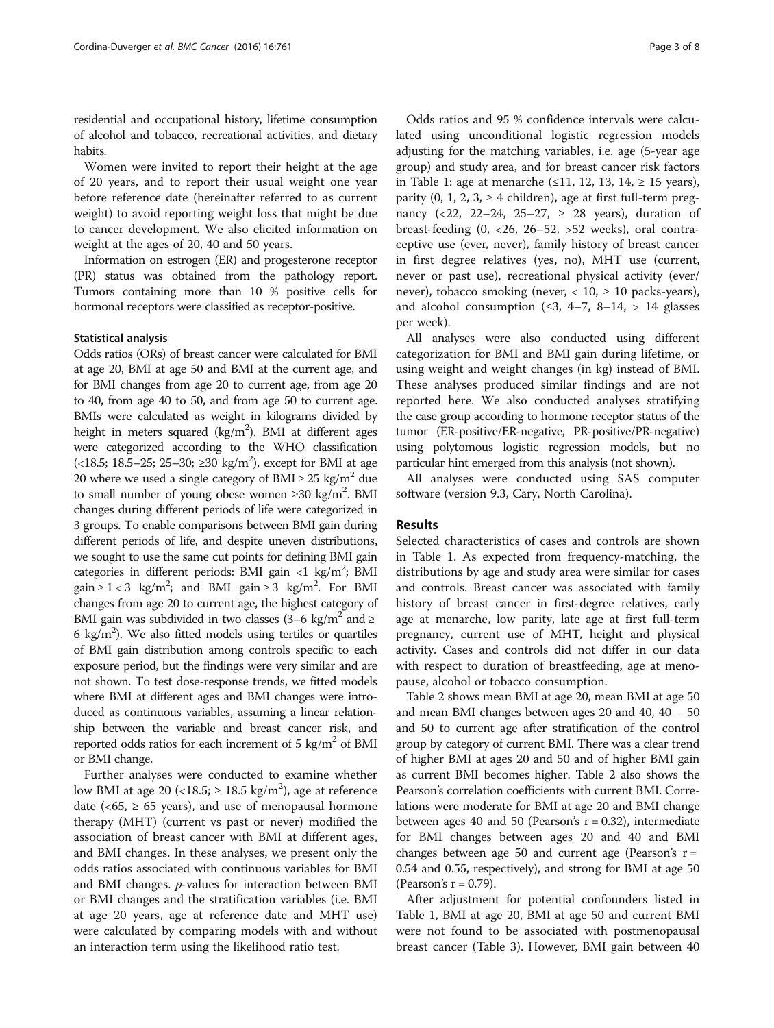residential and occupational history, lifetime consumption of alcohol and tobacco, recreational activities, and dietary habits.

Women were invited to report their height at the age of 20 years, and to report their usual weight one year before reference date (hereinafter referred to as current weight) to avoid reporting weight loss that might be due to cancer development. We also elicited information on weight at the ages of 20, 40 and 50 years.

Information on estrogen (ER) and progesterone receptor (PR) status was obtained from the pathology report. Tumors containing more than 10 % positive cells for hormonal receptors were classified as receptor-positive.

#### Statistical analysis

Odds ratios (ORs) of breast cancer were calculated for BMI at age 20, BMI at age 50 and BMI at the current age, and for BMI changes from age 20 to current age, from age 20 to 40, from age 40 to 50, and from age 50 to current age. BMIs were calculated as weight in kilograms divided by height in meters squared  $(kg/m^2)$ . BMI at different ages were categorized according to the WHO classification (<18.5; 18.5–25; 25–30; ≥30 kg/m<sup>2</sup>), except for BMI at age 20 where we used a single category of BMI  $\geq$  25 kg/m<sup>2</sup> due to small number of young obese women  $\geq 30$  kg/m<sup>2</sup>. BMI changes during different periods of life were categorized in 3 groups. To enable comparisons between BMI gain during different periods of life, and despite uneven distributions, we sought to use the same cut points for defining BMI gain categories in different periods: BMI gain <1 kg/m<sup>2</sup>; BMI gain  $\geq 1 < 3$  kg/m<sup>2</sup>; and BMI gain  $\geq 3$  kg/m<sup>2</sup>. For BMI changes from age 20 to current age, the highest category of BMI gain was subdivided in two classes  $(3-6 \text{ kg/m}^2 \text{ and } \geq$ 6 kg/m<sup>2</sup>). We also fitted models using tertiles or quartiles of BMI gain distribution among controls specific to each exposure period, but the findings were very similar and are not shown. To test dose-response trends, we fitted models where BMI at different ages and BMI changes were introduced as continuous variables, assuming a linear relationship between the variable and breast cancer risk, and reported odds ratios for each increment of  $5 \text{ kg/m}^2$  of BMI or BMI change.

Further analyses were conducted to examine whether low BMI at age 20 (<18.5;  $\geq 18.5$  kg/m<sup>2</sup>), age at reference date ( $<65$ ,  $\geq 65$  years), and use of menopausal hormone therapy (MHT) (current vs past or never) modified the association of breast cancer with BMI at different ages, and BMI changes. In these analyses, we present only the odds ratios associated with continuous variables for BMI and BMI changes. p-values for interaction between BMI or BMI changes and the stratification variables (i.e. BMI at age 20 years, age at reference date and MHT use) were calculated by comparing models with and without an interaction term using the likelihood ratio test.

Odds ratios and 95 % confidence intervals were calculated using unconditional logistic regression models adjusting for the matching variables, i.e. age (5-year age group) and study area, and for breast cancer risk factors in Table [1:](#page-3-0) age at menarche (≤11, 12, 13, 14, ≥ 15 years), parity  $(0, 1, 2, 3, \geq 4$  children), age at first full-term pregnancy (<22, 22–24, 25–27,  $\geq$  28 years), duration of breast-feeding  $(0, <26, 26-52, >52$  weeks), oral contraceptive use (ever, never), family history of breast cancer in first degree relatives (yes, no), MHT use (current, never or past use), recreational physical activity (ever/ never), tobacco smoking (never,  $< 10$ ,  $\geq 10$  packs-years), and alcohol consumption  $(≤3, 4-7, 8-14, > 14$  glasses per week).

All analyses were also conducted using different categorization for BMI and BMI gain during lifetime, or using weight and weight changes (in kg) instead of BMI. These analyses produced similar findings and are not reported here. We also conducted analyses stratifying the case group according to hormone receptor status of the tumor (ER-positive/ER-negative, PR-positive/PR-negative) using polytomous logistic regression models, but no particular hint emerged from this analysis (not shown).

All analyses were conducted using SAS computer software (version 9.3, Cary, North Carolina).

## Results

Selected characteristics of cases and controls are shown in Table [1](#page-3-0). As expected from frequency-matching, the distributions by age and study area were similar for cases and controls. Breast cancer was associated with family history of breast cancer in first-degree relatives, early age at menarche, low parity, late age at first full-term pregnancy, current use of MHT, height and physical activity. Cases and controls did not differ in our data with respect to duration of breastfeeding, age at menopause, alcohol or tobacco consumption.

Table [2](#page-4-0) shows mean BMI at age 20, mean BMI at age 50 and mean BMI changes between ages 20 and 40, 40 − 50 and 50 to current age after stratification of the control group by category of current BMI. There was a clear trend of higher BMI at ages 20 and 50 and of higher BMI gain as current BMI becomes higher. Table [2](#page-4-0) also shows the Pearson's correlation coefficients with current BMI. Correlations were moderate for BMI at age 20 and BMI change between ages 40 and 50 (Pearson's  $r = 0.32$ ), intermediate for BMI changes between ages 20 and 40 and BMI changes between age 50 and current age (Pearson's  $r =$ 0.54 and 0.55, respectively), and strong for BMI at age 50 (Pearson's  $r = 0.79$ ).

After adjustment for potential confounders listed in Table [1](#page-3-0), BMI at age 20, BMI at age 50 and current BMI were not found to be associated with postmenopausal breast cancer (Table [3\)](#page-5-0). However, BMI gain between 40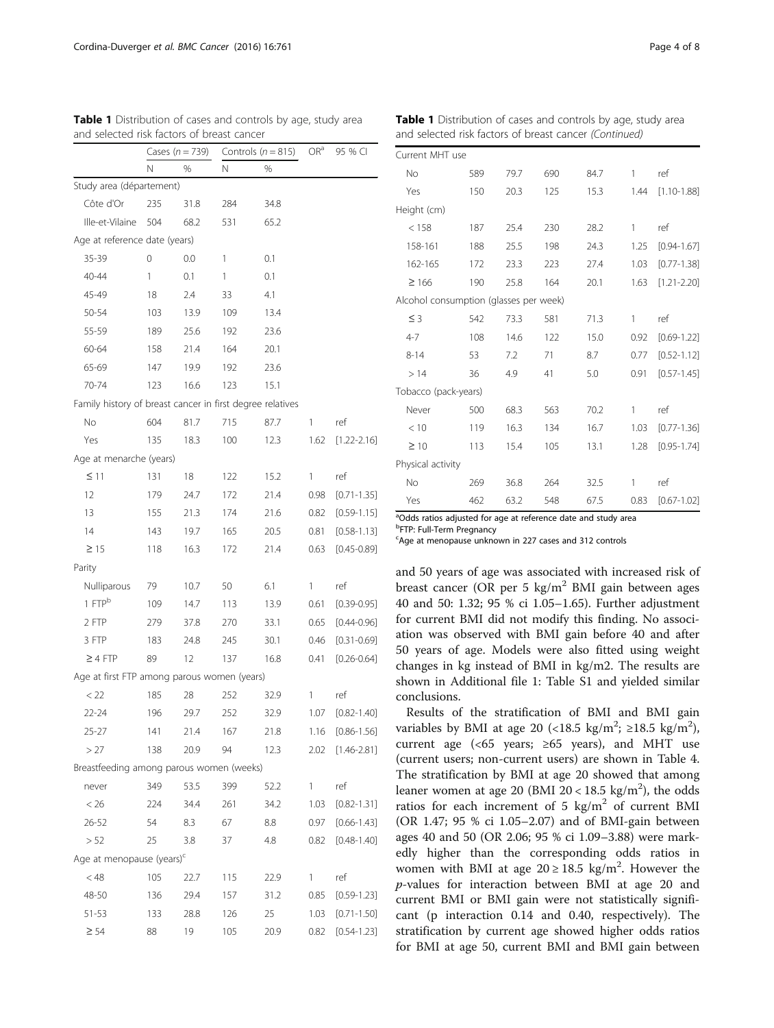|                                                           | Cases ( $n = 739$ ) |      |     | Controls ( $n = 815$ ) | OR <sup>a</sup> | 95 % CI         |
|-----------------------------------------------------------|---------------------|------|-----|------------------------|-----------------|-----------------|
|                                                           | N                   | %    | Ν   | %                      |                 |                 |
| Study area (département)                                  |                     |      |     |                        |                 |                 |
| Côte d'Or                                                 | 235                 | 31.8 | 284 | 34.8                   |                 |                 |
| Ille-et-Vilaine                                           | 504                 | 68.2 | 531 | 65.2                   |                 |                 |
| Age at reference date (years)                             |                     |      |     |                        |                 |                 |
| 35-39                                                     | 0                   | 0.0  | 1   | 0.1                    |                 |                 |
| 40-44                                                     | 1                   | 0.1  | 1   | 0.1                    |                 |                 |
| 45-49                                                     | 18                  | 2.4  | 33  | 4.1                    |                 |                 |
| 50-54                                                     | 103                 | 13.9 | 109 | 13.4                   |                 |                 |
| 55-59                                                     | 189                 | 25.6 | 192 | 23.6                   |                 |                 |
| 60-64                                                     | 158                 | 21.4 | 164 | 20.1                   |                 |                 |
| 65-69                                                     | 147                 | 19.9 | 192 | 23.6                   |                 |                 |
| 70-74                                                     | 123                 | 16.6 | 123 | 15.1                   |                 |                 |
| Family history of breast cancer in first degree relatives |                     |      |     |                        |                 |                 |
| No                                                        | 604                 | 81.7 | 715 | 87.7                   | 1               | ref             |
| Yes                                                       | 135                 | 18.3 | 100 | 12.3                   | 1.62            | $[1.22 - 2.16]$ |
| Age at menarche (years)                                   |                     |      |     |                        |                 |                 |
| $\leq$ 11                                                 | 131                 | 18   | 122 | 15.2                   | 1               | ref             |
| 12                                                        | 179                 | 24.7 | 172 | 21.4                   | 0.98            | $[0.71 - 1.35]$ |
| 13                                                        | 155                 | 21.3 | 174 | 21.6                   | 0.82            | $[0.59 - 1.15]$ |
| 14                                                        | 143                 | 19.7 | 165 | 20.5                   | 0.81            | $[0.58 - 1.13]$ |
| $\geq$ 15                                                 | 118                 | 16.3 | 172 | 21.4                   | 0.63            | $[0.45 - 0.89]$ |
| Parity                                                    |                     |      |     |                        |                 |                 |
| Nulliparous                                               | 79                  | 10.7 | 50  | 6.1                    | 1               | ref             |
| 1 FTP <sup>b</sup>                                        | 109                 | 14.7 | 113 | 13.9                   | 0.61            | $[0.39 - 0.95]$ |
| 2 FTP                                                     | 279                 | 37.8 | 270 | 33.1                   | 0.65            | $[0.44 - 0.96]$ |
| 3 FTP                                                     | 183                 | 24.8 | 245 | 30.1                   | 0.46            | $[0.31 - 0.69]$ |
| $\geq 4$ FTP                                              | 89                  | 12   | 137 | 16.8                   | 0.41            | $[0.26 - 0.64]$ |
| Age at first FTP among parous women (years)               |                     |      |     |                        |                 |                 |
| < 22                                                      | 185                 | 28   | 252 | 32.9                   | 1               | ref             |
| $22 - 24$                                                 | 196                 | 29.7 | 252 | 32.9                   | 1.07            | $[0.82 - 1.40]$ |
| 25-27                                                     | 141                 | 21.4 | 167 | 21.8                   | 1.16            | $[0.86 - 1.56]$ |
| >27                                                       | 138                 | 20.9 | 94  | 12.3                   | 2.02            | $[1.46 - 2.81]$ |
| Breastfeeding among parous women (weeks)                  |                     |      |     |                        |                 |                 |
| never                                                     | 349                 | 53.5 | 399 | 52.2                   | 1               | ref             |
| < 26                                                      | 224                 | 34.4 | 261 | 34.2                   | 1.03            | $[0.82 - 1.31]$ |
| 26-52                                                     | 54                  | 8.3  | 67  | 8.8                    | 0.97            | $[0.66 - 1.43]$ |
| > 52                                                      | 25                  | 3.8  | 37  | 4.8                    | 0.82            | $[0.48 - 1.40]$ |
| Age at menopause (years) <sup>c</sup>                     |                     |      |     |                        |                 |                 |
| $<$ 48                                                    | 105                 | 22.7 | 115 | 22.9                   | 1               | ref             |
| 48-50                                                     | 136                 | 29.4 | 157 | 31.2                   | 0.85            | $[0.59 - 1.23]$ |
| 51-53                                                     | 133                 | 28.8 | 126 | 25                     | 1.03            | $[0.71 - 1.50]$ |
| $\geq 54$                                                 | 88                  | 19   | 105 | 20.9                   | 0.82            | $[0.54 - 1.23]$ |

<span id="page-3-0"></span>Table 1 Distribution of cases and controls by age, study area and selected risk factors of breast cancer

Table 1 Distribution of cases and controls by age, study area and selected risk factors of breast cancer (Continued)

| Current MHT use                        |     |      |     |      |      |                 |
|----------------------------------------|-----|------|-----|------|------|-----------------|
| No                                     | 589 | 79.7 | 690 | 84.7 | 1    | ref             |
| Yes                                    | 150 | 20.3 | 125 | 15.3 | 1.44 | $[1.10 - 1.88]$ |
| Height (cm)                            |     |      |     |      |      |                 |
| < 158                                  | 187 | 25.4 | 230 | 28.2 | 1    | ref             |
| 158-161                                | 188 | 25.5 | 198 | 24.3 | 1.25 | $[0.94 - 1.67]$ |
| 162-165                                | 172 | 23.3 | 223 | 27.4 | 1.03 | $[0.77 - 1.38]$ |
| $\geq 166$                             | 190 | 25.8 | 164 | 20.1 | 1.63 | $[1.21 - 2.20]$ |
| Alcohol consumption (glasses per week) |     |      |     |      |      |                 |
| $\leq$ 3                               | 542 | 73.3 | 581 | 71.3 | 1    | ref             |
| $4 - 7$                                | 108 | 14.6 | 122 | 15.0 | 0.92 | $[0.69 - 1.22]$ |
| $8 - 14$                               | 53  | 7.2  | 71  | 8.7  | 0.77 | $[0.52 - 1.12]$ |
| >14                                    | 36  | 4.9  | 41  | 5.0  | 0.91 | $[0.57 - 1.45]$ |
| Tobacco (pack-years)                   |     |      |     |      |      |                 |
| Never                                  | 500 | 68.3 | 563 | 70.2 | 1    | ref             |
| < 10                                   | 119 | 16.3 | 134 | 16.7 | 1.03 | $[0.77 - 1.36]$ |
| $\geq 10$                              | 113 | 15.4 | 105 | 13.1 | 1.28 | $[0.95 - 1.74]$ |
| Physical activity                      |     |      |     |      |      |                 |
| No                                     | 269 | 36.8 | 264 | 32.5 | 1    | ref             |
| Yes                                    | 462 | 63.2 | 548 | 67.5 | 0.83 | $[0.67 - 1.02]$ |

<sup>a</sup>Odds ratios adjusted for age at reference date and study area

<sup>b</sup>FTP: Full-Term Pregnancy

<sup>c</sup>Age at menopause unknown in 227 cases and 312 controls

and 50 years of age was associated with increased risk of breast cancer (OR per 5 kg/m<sup>2</sup> BMI gain between ages 40 and 50: 1.32; 95 % ci 1.05–1.65). Further adjustment for current BMI did not modify this finding. No association was observed with BMI gain before 40 and after 50 years of age. Models were also fitted using weight changes in kg instead of BMI in kg/m2. The results are shown in Additional file [1](#page-6-0): Table S1 and yielded similar conclusions.

Results of the stratification of BMI and BMI gain variables by BMI at age 20 (<18.5 kg/m<sup>2</sup>; ≥18.5 kg/m<sup>2</sup>), current age (<65 years;  $\geq 65$  years), and MHT use (current users; non-current users) are shown in Table [4](#page-6-0). The stratification by BMI at age 20 showed that among leaner women at age 20 (BMI  $20 < 18.5$  kg/m<sup>2</sup>), the odds ratios for each increment of 5  $\text{kg/m}^2$  of current BMI (OR 1.47; 95 % ci 1.05–2.07) and of BMI-gain between ages 40 and 50 (OR 2.06; 95 % ci 1.09–3.88) were markedly higher than the corresponding odds ratios in women with BMI at age  $20 \ge 18.5$  kg/m<sup>2</sup>. However the p-values for interaction between BMI at age 20 and current BMI or BMI gain were not statistically significant (p interaction 0.14 and 0.40, respectively). The stratification by current age showed higher odds ratios for BMI at age 50, current BMI and BMI gain between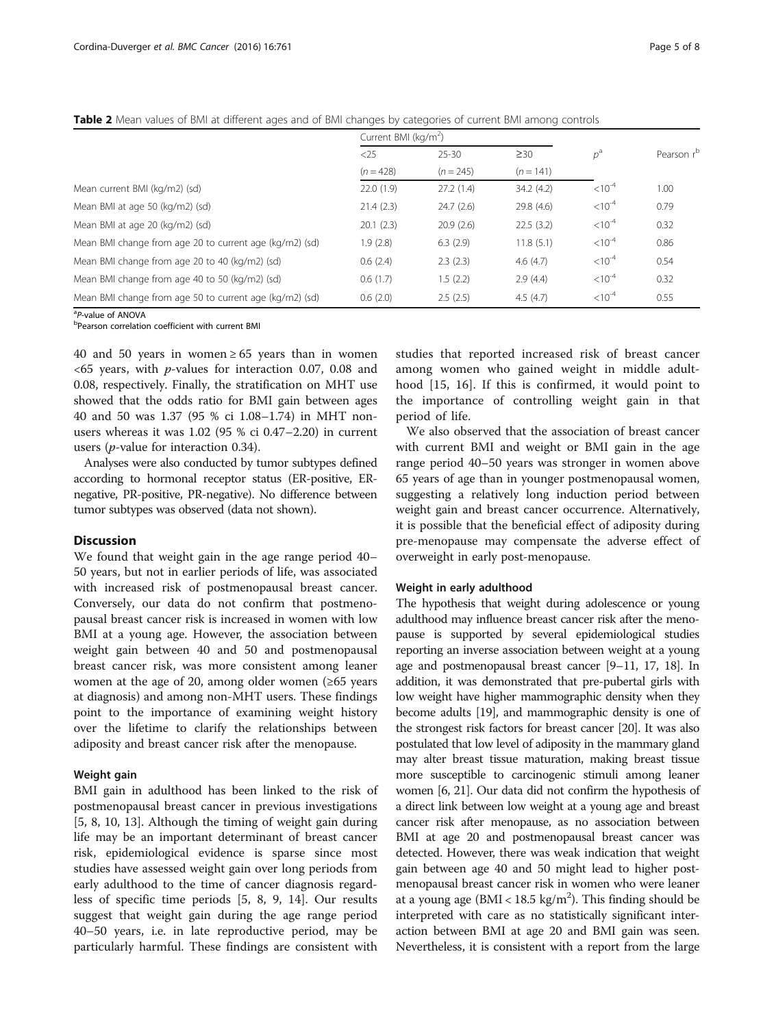<span id="page-4-0"></span>

| Table 2 Mean values of BMI at different ages and of BMI changes by categories of current BMI among controls |  |  |
|-------------------------------------------------------------------------------------------------------------|--|--|
|-------------------------------------------------------------------------------------------------------------|--|--|

|                                                         | Current BMI ( $kg/m2$ ) |             |             |             |            |
|---------------------------------------------------------|-------------------------|-------------|-------------|-------------|------------|
|                                                         | $<$ 25                  | $25 - 30$   | $\geq$ 30   | $p^a$       | Pearson rb |
|                                                         | $(n = 428)$             | $(n = 245)$ | $(n = 141)$ |             |            |
| Mean current BMI (kg/m2) (sd)                           | 22.0(1.9)               | 27.2(1.4)   | 34.2(4.2)   | $< 10^{-4}$ | 1.00       |
| Mean BMI at age 50 (kg/m2) (sd)                         | 21.4(2.3)               | 24.7(2.6)   | 29.8 (4.6)  | $< 10^{-4}$ | 0.79       |
| Mean BMI at age 20 (kg/m2) (sd)                         | 20.1(2.3)               | 20.9(2.6)   | 22.5(3.2)   | $< 10^{-4}$ | 0.32       |
| Mean BMI change from age 20 to current age (kg/m2) (sd) | 1.9(2.8)                | 6.3(2.9)    | 11.8(5.1)   | $< 10^{-4}$ | 0.86       |
| Mean BMI change from age 20 to 40 (kg/m2) (sd)          | 0.6(2.4)                | 2.3(2.3)    | 4.6(4.7)    | $< 10^{-4}$ | 0.54       |
| Mean BMI change from age 40 to 50 (kg/m2) (sd)          | 0.6(1.7)                | 1.5(2.2)    | 2.9(4.4)    | $< 10^{-4}$ | 0.32       |
| Mean BMI change from age 50 to current age (kg/m2) (sd) | 0.6(2.0)                | 2.5(2.5)    | 4.5(4.7)    | $< 10^{-4}$ | 0.55       |

<sup>a</sup>P-value of ANOVA

<sup>a</sup>P-value of ANOVA<br><sup>b</sup>Pearson correlation coefficient with current BMI

40 and 50 years in women  $\geq 65$  years than in women  $<65$  years, with *p*-values for interaction 0.07, 0.08 and 0.08, respectively. Finally, the stratification on MHT use showed that the odds ratio for BMI gain between ages 40 and 50 was 1.37 (95 % ci 1.08–1.74) in MHT nonusers whereas it was 1.02 (95 % ci 0.47–2.20) in current users (p-value for interaction 0.34).

Analyses were also conducted by tumor subtypes defined according to hormonal receptor status (ER-positive, ERnegative, PR-positive, PR-negative). No difference between tumor subtypes was observed (data not shown).

## **Discussion**

We found that weight gain in the age range period 40– 50 years, but not in earlier periods of life, was associated with increased risk of postmenopausal breast cancer. Conversely, our data do not confirm that postmenopausal breast cancer risk is increased in women with low BMI at a young age. However, the association between weight gain between 40 and 50 and postmenopausal breast cancer risk, was more consistent among leaner women at the age of 20, among older women  $(\geq 65$  years at diagnosis) and among non-MHT users. These findings point to the importance of examining weight history over the lifetime to clarify the relationships between adiposity and breast cancer risk after the menopause.

#### Weight gain

BMI gain in adulthood has been linked to the risk of postmenopausal breast cancer in previous investigations [[5, 8](#page-7-0), [10](#page-7-0), [13\]](#page-7-0). Although the timing of weight gain during life may be an important determinant of breast cancer risk, epidemiological evidence is sparse since most studies have assessed weight gain over long periods from early adulthood to the time of cancer diagnosis regardless of specific time periods [[5, 8, 9, 14\]](#page-7-0). Our results suggest that weight gain during the age range period 40–50 years, i.e. in late reproductive period, may be particularly harmful. These findings are consistent with studies that reported increased risk of breast cancer among women who gained weight in middle adulthood [[15, 16\]](#page-7-0). If this is confirmed, it would point to the importance of controlling weight gain in that period of life.

We also observed that the association of breast cancer with current BMI and weight or BMI gain in the age range period 40–50 years was stronger in women above 65 years of age than in younger postmenopausal women, suggesting a relatively long induction period between weight gain and breast cancer occurrence. Alternatively, it is possible that the beneficial effect of adiposity during pre-menopause may compensate the adverse effect of overweight in early post-menopause.

#### Weight in early adulthood

The hypothesis that weight during adolescence or young adulthood may influence breast cancer risk after the menopause is supported by several epidemiological studies reporting an inverse association between weight at a young age and postmenopausal breast cancer [\[9](#page-7-0)–[11](#page-7-0), [17](#page-7-0), [18\]](#page-7-0). In addition, it was demonstrated that pre-pubertal girls with low weight have higher mammographic density when they become adults [\[19\]](#page-7-0), and mammographic density is one of the strongest risk factors for breast cancer [[20](#page-7-0)]. It was also postulated that low level of adiposity in the mammary gland may alter breast tissue maturation, making breast tissue more susceptible to carcinogenic stimuli among leaner women [[6, 21\]](#page-7-0). Our data did not confirm the hypothesis of a direct link between low weight at a young age and breast cancer risk after menopause, as no association between BMI at age 20 and postmenopausal breast cancer was detected. However, there was weak indication that weight gain between age 40 and 50 might lead to higher postmenopausal breast cancer risk in women who were leaner at a young age ( $BMI < 18.5 \text{ kg/m}^2$ ). This finding should be interpreted with care as no statistically significant interaction between BMI at age 20 and BMI gain was seen. Nevertheless, it is consistent with a report from the large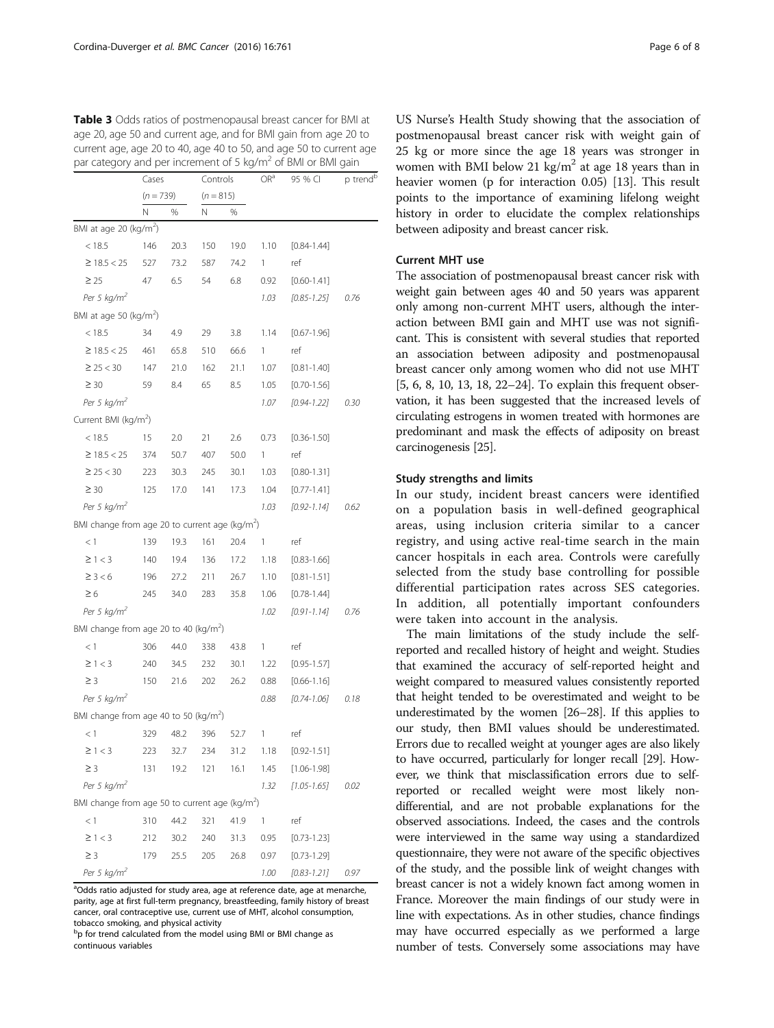|                                                            | Cases       |      |             | Controls |      | 95 % CI         | p trend <sup>b</sup> |  |
|------------------------------------------------------------|-------------|------|-------------|----------|------|-----------------|----------------------|--|
|                                                            | $(n = 739)$ |      | $(n = 815)$ |          |      |                 |                      |  |
|                                                            | Ν           | %    | Ν           | %        |      |                 |                      |  |
| BMI at age 20 (kg/m <sup>2</sup> )                         |             |      |             |          |      |                 |                      |  |
| < 18.5                                                     | 146         | 20.3 | 150         | 19.0     | 1.10 | $[0.84 - 1.44]$ |                      |  |
| $≥$ 18.5 < 25                                              | 527         | 73.2 | 587         | 74.2     | 1    | ref             |                      |  |
| $\geq 25$                                                  | 47          | 6.5  | 54          | 6.8      | 0.92 | $[0.60 - 1.41]$ |                      |  |
| Per 5 $kg/m2$                                              |             |      |             |          | 1.03 | $[0.85 - 1.25]$ | 0.76                 |  |
| BMI at age 50 (kg/m <sup>2</sup> )                         |             |      |             |          |      |                 |                      |  |
| < 18.5                                                     | 34          | 4.9  | 29          | 3.8      | 1.14 | $[0.67 - 1.96]$ |                      |  |
| $≥$ 18.5 < 25                                              | 461         | 65.8 | 510         | 66.6     | 1    | ref             |                      |  |
| $\geq$ 25 < 30                                             | 147         | 21.0 | 162         | 21.1     | 1.07 | $[0.81 - 1.40]$ |                      |  |
| $\geq 30$                                                  | 59          | 8.4  | 65          | 8.5      | 1.05 | $[0.70 - 1.56]$ |                      |  |
| Per 5 $kg/m^2$                                             |             |      |             |          | 1.07 | $[0.94 - 1.22]$ | 0.30                 |  |
| Current BMI (kg/m <sup>2</sup> )                           |             |      |             |          |      |                 |                      |  |
| < 18.5                                                     | 15          | 2.0  | 21          | 2.6      | 0.73 | $[0.36 - 1.50]$ |                      |  |
| $≥$ 18.5 < 25                                              | 374         | 50.7 | 407         | 50.0     | 1    | ref             |                      |  |
| $\geq$ 25 < 30                                             | 223         | 30.3 | 245         | 30.1     | 1.03 | $[0.80 - 1.31]$ |                      |  |
| $\geq 30$                                                  | 125         | 17.0 | 141         | 17.3     | 1.04 | $[0.77 - 1.41]$ |                      |  |
| Per 5 $kg/m^2$                                             |             |      |             |          | 1.03 | $[0.92 - 1.14]$ | 0.62                 |  |
| BMI change from age 20 to current age (kg/m <sup>2</sup> ) |             |      |             |          |      |                 |                      |  |
| < 1                                                        | 139         | 19.3 | 161         | 20.4     | 1    | ref             |                      |  |
| $\geq 1 < 3$                                               | 140         | 19.4 | 136         | 17.2     | 1.18 | $[0.83 - 1.66]$ |                      |  |
| $\geq$ 3 < 6                                               | 196         | 27.2 | 211         | 26.7     | 1.10 | $[0.81 - 1.51]$ |                      |  |
| $\geq 6$                                                   | 245         | 34.0 | 283         | 35.8     | 1.06 | $[0.78 - 1.44]$ |                      |  |
| Per 5 $kg/m2$                                              |             |      |             |          | 1.02 | $[0.91 - 1.14]$ | 0.76                 |  |
| BMI change from age 20 to 40 (kg/m <sup>2</sup> )          |             |      |             |          |      |                 |                      |  |
| <1                                                         | 306         | 44.0 | 338         | 43.8     | 1    | ref             |                      |  |
| $\geq 1 < 3$                                               | 240         | 34.5 | 232         | 30.1     | 1.22 | $[0.95 - 1.57]$ |                      |  |
| $\geq$ 3                                                   | 150         | 21.6 | 202         | 26.2     | 0.88 | $[0.66 - 1.16]$ |                      |  |
| Per 5 $kg/m2$                                              |             |      |             |          | 0.88 | $[0.74 - 1.06]$ | 0.18                 |  |
| BMI change from age 40 to 50 (kg/m <sup>2</sup> )          |             |      |             |          |      |                 |                      |  |
| < 1                                                        | 329         | 48.2 | 396         | 52.7     | 1    | ref             |                      |  |
| $\geq 1 < 3$                                               | 223         | 32.7 | 234         | 31.2     | 1.18 | $[0.92 - 1.51]$ |                      |  |
| $\geq$ 3                                                   | 131         | 19.2 | 121         | 16.1     | 1.45 | $[1.06 - 1.98]$ |                      |  |
| Per 5 $kg/m2$                                              |             |      |             |          | 1.32 | $[1.05 - 1.65]$ | 0.02                 |  |
| BMI change from age 50 to current age ( $kg/m2$ )          |             |      |             |          |      |                 |                      |  |
| < 1                                                        | 310         | 44.2 | 321         | 41.9     | 1    | ref             |                      |  |
| $\geq 1 < 3$                                               | 212         | 30.2 | 240         | 31.3     | 0.95 | $[0.73 - 1.23]$ |                      |  |
| $\geq$ 3                                                   | 179         | 25.5 | 205         | 26.8     | 0.97 | $[0.73 - 1.29]$ |                      |  |
| Per 5 $kg/m^2$                                             |             |      |             |          | 1.00 | $[0.83 - 1.21]$ | 0.97                 |  |

<span id="page-5-0"></span>Table 3 Odds ratios of postmenopausal breast cancer for BMI at age 20, age 50 and current age, and for BMI gain from age 20 to current age, age 20 to 40, age 40 to 50, and age 50 to current age par category and per increment of 5 kg/m<sup>2</sup> of BMI or BMI gain

<sup>a</sup>Odds ratio adjusted for study area, age at reference date, age at menarche, parity, age at first full-term pregnancy, breastfeeding, family history of breast cancer, oral contraceptive use, current use of MHT, alcohol consumption, tobacco smoking, and physical activity

bp for trend calculated from the model using BMI or BMI change as continuous variables

US Nurse's Health Study showing that the association of postmenopausal breast cancer risk with weight gain of 25 kg or more since the age 18 years was stronger in women with BMI below 21 kg/m<sup>2</sup> at age 18 years than in heavier women (p for interaction 0.05) [[13](#page-7-0)]. This result points to the importance of examining lifelong weight history in order to elucidate the complex relationships between adiposity and breast cancer risk.

## Current MHT use

The association of postmenopausal breast cancer risk with weight gain between ages 40 and 50 years was apparent only among non-current MHT users, although the interaction between BMI gain and MHT use was not significant. This is consistent with several studies that reported an association between adiposity and postmenopausal breast cancer only among women who did not use MHT [[5](#page-7-0), [6](#page-7-0), [8](#page-7-0), [10, 13, 18](#page-7-0), [22](#page-7-0)–[24](#page-7-0)]. To explain this frequent observation, it has been suggested that the increased levels of circulating estrogens in women treated with hormones are predominant and mask the effects of adiposity on breast carcinogenesis [\[25\]](#page-7-0).

## Study strengths and limits

In our study, incident breast cancers were identified on a population basis in well-defined geographical areas, using inclusion criteria similar to a cancer registry, and using active real-time search in the main cancer hospitals in each area. Controls were carefully selected from the study base controlling for possible differential participation rates across SES categories. In addition, all potentially important confounders were taken into account in the analysis.

The main limitations of the study include the selfreported and recalled history of height and weight. Studies that examined the accuracy of self-reported height and weight compared to measured values consistently reported that height tended to be overestimated and weight to be underestimated by the women [[26](#page-7-0)–[28](#page-7-0)]. If this applies to our study, then BMI values should be underestimated. Errors due to recalled weight at younger ages are also likely to have occurred, particularly for longer recall [[29](#page-7-0)]. However, we think that misclassification errors due to selfreported or recalled weight were most likely nondifferential, and are not probable explanations for the observed associations. Indeed, the cases and the controls were interviewed in the same way using a standardized questionnaire, they were not aware of the specific objectives of the study, and the possible link of weight changes with breast cancer is not a widely known fact among women in France. Moreover the main findings of our study were in line with expectations. As in other studies, chance findings may have occurred especially as we performed a large number of tests. Conversely some associations may have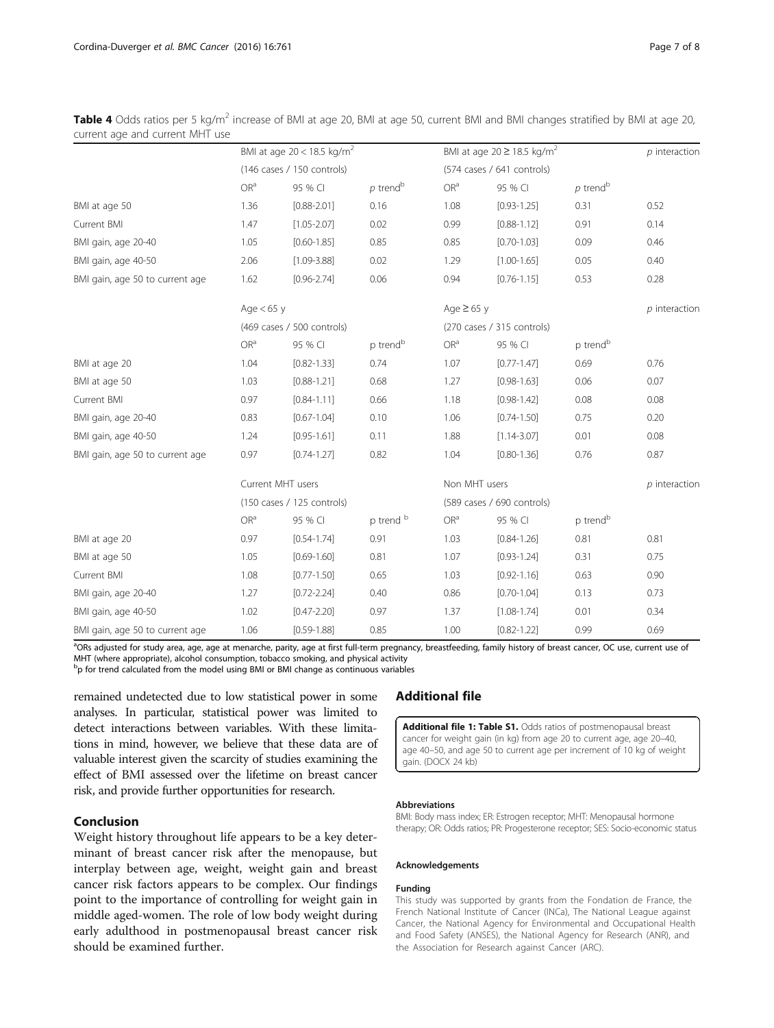|                                 | BMI at age $20 < 18.5$ kg/m <sup>2</sup> |                            |                            |                            | BMI at age $20 \ge 18.5$ kg/m <sup>2</sup> |                        |                 |
|---------------------------------|------------------------------------------|----------------------------|----------------------------|----------------------------|--------------------------------------------|------------------------|-----------------|
|                                 | (146 cases / 150 controls)               |                            | (574 cases / 641 controls) |                            |                                            |                        |                 |
|                                 | OR <sup>a</sup>                          | 95 % CI                    | $p$ trend <sup>b</sup>     | OR <sup>a</sup>            | 95 % CI                                    | $p$ trend <sup>b</sup> |                 |
| BMI at age 50                   | 1.36                                     | $[0.88 - 2.01]$            | 0.16                       | 1.08                       | $[0.93 - 1.25]$                            | 0.31                   | 0.52            |
| Current BMI                     | 1.47                                     | $[1.05 - 2.07]$            | 0.02                       | 0.99                       | $[0.88 - 1.12]$                            | 0.91                   | 0.14            |
| BMI gain, age 20-40             | 1.05                                     | $[0.60 - 1.85]$            | 0.85                       | 0.85                       | $[0.70 - 1.03]$                            | 0.09                   | 0.46            |
| BMI gain, age 40-50             | 2.06                                     | $[1.09 - 3.88]$            | 0.02                       | 1.29                       | $[1.00 - 1.65]$                            | 0.05                   | 0.40            |
| BMI gain, age 50 to current age | 1.62                                     | $[0.96 - 2.74]$            | 0.06                       | 0.94                       | $[0.76 - 1.15]$                            | 0.53                   | 0.28            |
|                                 | Age $< 65$ y                             |                            |                            | Age $\geq 65$ y            |                                            |                        | $p$ interaction |
|                                 |                                          | (469 cases / 500 controls) |                            |                            | (270 cases / 315 controls)                 |                        |                 |
|                                 | OR <sup>a</sup>                          | 95 % CI                    | p trend <sup>b</sup>       | OR <sup>a</sup>            | 95 % CI                                    | p trend <sup>b</sup>   |                 |
| BMI at age 20                   | 1.04                                     | $[0.82 - 1.33]$            | 0.74                       | 1.07                       | $[0.77 - 1.47]$                            | 0.69                   | 0.76            |
| BMI at age 50                   | 1.03                                     | $[0.88 - 1.21]$            | 0.68                       | 1.27                       | $[0.98 - 1.63]$                            | 0.06                   | 0.07            |
| Current BMI                     | 0.97                                     | $[0.84 - 1.11]$            | 0.66                       | 1.18                       | $[0.98 - 1.42]$                            | 0.08                   | 0.08            |
| BMI gain, age 20-40             | 0.83                                     | $[0.67 - 1.04]$            | 0.10                       | 1.06                       | $[0.74 - 1.50]$                            | 0.75                   | 0.20            |
| BMI gain, age 40-50             | 1.24                                     | $[0.95 - 1.61]$            | 0.11                       | 1.88                       | $[1.14 - 3.07]$                            | 0.01                   | 0.08            |
| BMI gain, age 50 to current age | 0.97                                     | $[0.74 - 1.27]$            | 0.82                       | 1.04                       | $[0.80 - 1.36]$                            | 0.76                   | 0.87            |
|                                 | Current MHT users                        |                            |                            | Non MHT users              |                                            |                        | $p$ interaction |
|                                 | (150 cases / 125 controls)               |                            |                            | (589 cases / 690 controls) |                                            |                        |                 |
|                                 | OR <sup>a</sup>                          | 95 % CI                    | p trend b                  | OR <sup>a</sup>            | 95 % CI                                    | p trend <sup>b</sup>   |                 |
| BMI at age 20                   | 0.97                                     | $[0.54 - 1.74]$            | 0.91                       | 1.03                       | $[0.84 - 1.26]$                            | 0.81                   | 0.81            |
| BMI at age 50                   | 1.05                                     | $[0.69 - 1.60]$            | 0.81                       | 1.07                       | $[0.93 - 1.24]$                            | 0.31                   | 0.75            |
| Current BMI                     | 1.08                                     | $[0.77 - 1.50]$            | 0.65                       | 1.03                       | $[0.92 - 1.16]$                            | 0.63                   | 0.90            |
| BMI gain, age 20-40             | 1.27                                     | $[0.72 - 2.24]$            | 0.40                       | 0.86                       | $[0.70 - 1.04]$                            | 0.13                   | 0.73            |
| BMI gain, age 40-50             | 1.02                                     | $[0.47 - 2.20]$            | 0.97                       | 1.37                       | $[1.08 - 1.74]$                            | 0.01                   | 0.34            |
| BMI gain, age 50 to current age | 1.06                                     | $[0.59 - 1.88]$            | 0.85                       | 1.00                       | $[0.82 - 1.22]$                            | 0.99                   | 0.69            |

<span id="page-6-0"></span>Table 4 Odds ratios per 5 kg/m<sup>2</sup> increase of BMI at age 20, BMI at age 50, current BMI and BMI changes stratified by BMI at age 20, current age and current MHT use

<sup>a</sup>ORs adjusted for study area, age, age at menarche, parity, age at first full-term pregnancy, breastfeeding, family history of breast cancer, OC use, current use of MHT (where appropriate), alcohol consumption, tobacco smoking, and physical activity

<sup>b</sup>p for trend calculated from the model using BMI or BMI change as continuous variables

remained undetected due to low statistical power in some analyses. In particular, statistical power was limited to detect interactions between variables. With these limitations in mind, however, we believe that these data are of valuable interest given the scarcity of studies examining the effect of BMI assessed over the lifetime on breast cancer risk, and provide further opportunities for research.

## Conclusion

Weight history throughout life appears to be a key determinant of breast cancer risk after the menopause, but interplay between age, weight, weight gain and breast cancer risk factors appears to be complex. Our findings point to the importance of controlling for weight gain in middle aged-women. The role of low body weight during early adulthood in postmenopausal breast cancer risk should be examined further.

## Additional file

[Additional file 1: Table S1.](dx.doi.org/10.1186/s12885-016-2793-0) Odds ratios of postmenopausal breast cancer for weight gain (in kg) from age 20 to current age, age 20–40, age 40–50, and age 50 to current age per increment of 10 kg of weight gain. (DOCX 24 kb)

#### Abbreviations

BMI: Body mass index; ER: Estrogen receptor; MHT: Menopausal hormone therapy; OR: Odds ratios; PR: Progesterone receptor; SES: Socio-economic status

#### Acknowledgements

#### Funding

This study was supported by grants from the Fondation de France, the French National Institute of Cancer (INCa), The National League against Cancer, the National Agency for Environmental and Occupational Health and Food Safety (ANSES), the National Agency for Research (ANR), and the Association for Research against Cancer (ARC).